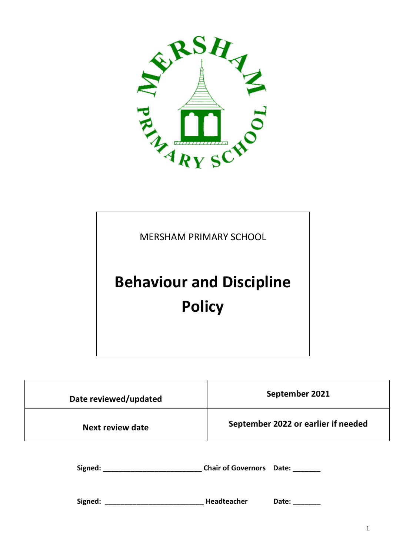

# MERSHAM PRIMARY SCHOOL **Behaviour and Discipline Policy**

| Date reviewed/updated                                           | September 2021                      |
|-----------------------------------------------------------------|-------------------------------------|
| Next review date                                                | September 2022 or earlier if needed |
| Signed: Chair of Governors Date: Chair Chair of Governors Date: |                                     |
|                                                                 | Date:                               |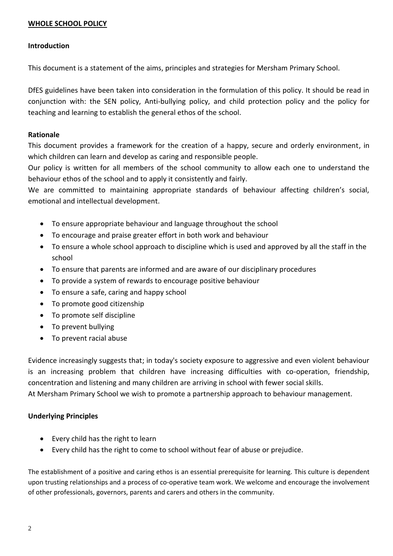#### **WHOLE SCHOOL POLICY**

#### **Introduction**

This document is a statement of the aims, principles and strategies for Mersham Primary School.

DfES guidelines have been taken into consideration in the formulation of this policy. It should be read in conjunction with: the SEN policy, Anti-bullying policy, and child protection policy and the policy for teaching and learning to establish the general ethos of the school.

#### **Rationale**

This document provides a framework for the creation of a happy, secure and orderly environment, in which children can learn and develop as caring and responsible people.

Our policy is written for all members of the school community to allow each one to understand the behaviour ethos of the school and to apply it consistently and fairly.

We are committed to maintaining appropriate standards of behaviour affecting children's social, emotional and intellectual development.

- To ensure appropriate behaviour and language throughout the school
- To encourage and praise greater effort in both work and behaviour
- To ensure a whole school approach to discipline which is used and approved by all the staff in the school
- To ensure that parents are informed and are aware of our disciplinary procedures
- To provide a system of rewards to encourage positive behaviour
- To ensure a safe, caring and happy school
- To promote good citizenship
- To promote self discipline
- To prevent bullying
- To prevent racial abuse

Evidence increasingly suggests that; in today's society exposure to aggressive and even violent behaviour is an increasing problem that children have increasing difficulties with co-operation, friendship, concentration and listening and many children are arriving in school with fewer social skills. At Mersham Primary School we wish to promote a partnership approach to behaviour management.

#### **Underlying Principles**

- Every child has the right to learn
- Every child has the right to come to school without fear of abuse or prejudice.

The establishment of a positive and caring ethos is an essential prerequisite for learning. This culture is dependent upon trusting relationships and a process of co-operative team work. We welcome and encourage the involvement of other professionals, governors, parents and carers and others in the community.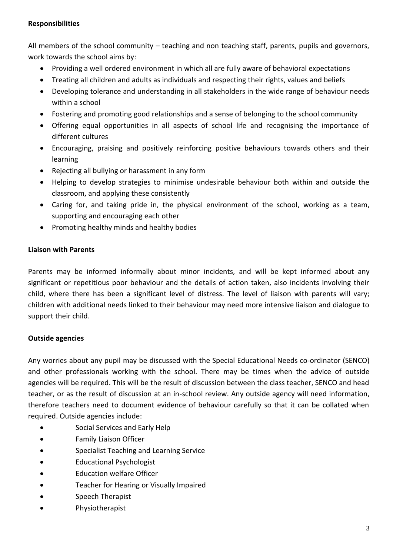## **Responsibilities**

All members of the school community – teaching and non teaching staff, parents, pupils and governors, work towards the school aims by:

- Providing a well ordered environment in which all are fully aware of behavioral expectations
- Treating all children and adults as individuals and respecting their rights, values and beliefs
- Developing tolerance and understanding in all stakeholders in the wide range of behaviour needs within a school
- Fostering and promoting good relationships and a sense of belonging to the school community
- Offering equal opportunities in all aspects of school life and recognising the importance of different cultures
- Encouraging, praising and positively reinforcing positive behaviours towards others and their learning
- Rejecting all bullying or harassment in any form
- Helping to develop strategies to minimise undesirable behaviour both within and outside the classroom, and applying these consistently
- Caring for, and taking pride in, the physical environment of the school, working as a team, supporting and encouraging each other
- Promoting healthy minds and healthy bodies

# **Liaison with Parents**

Parents may be informed informally about minor incidents, and will be kept informed about any significant or repetitious poor behaviour and the details of action taken, also incidents involving their child, where there has been a significant level of distress. The level of liaison with parents will vary; children with additional needs linked to their behaviour may need more intensive liaison and dialogue to support their child.

# **Outside agencies**

Any worries about any pupil may be discussed with the Special Educational Needs co-ordinator (SENCO) and other professionals working with the school. There may be times when the advice of outside agencies will be required. This will be the result of discussion between the class teacher, SENCO and head teacher, or as the result of discussion at an in-school review. Any outside agency will need information, therefore teachers need to document evidence of behaviour carefully so that it can be collated when required. Outside agencies include:

- **•** Social Services and Early Help
- Family Liaison Officer
- Specialist Teaching and Learning Service
- Educational Psychologist
- Education welfare Officer
- Teacher for Hearing or Visually Impaired
- Speech Therapist
- Physiotherapist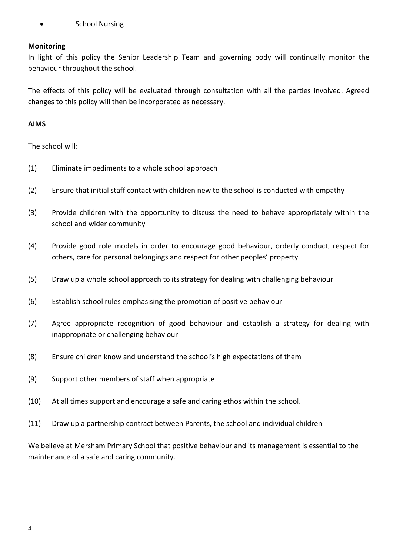School Nursing

#### **Monitoring**

In light of this policy the Senior Leadership Team and governing body will continually monitor the behaviour throughout the school.

The effects of this policy will be evaluated through consultation with all the parties involved. Agreed changes to this policy will then be incorporated as necessary.

#### **AIMS**

The school will:

- (1) Eliminate impediments to a whole school approach
- (2) Ensure that initial staff contact with children new to the school is conducted with empathy
- (3) Provide children with the opportunity to discuss the need to behave appropriately within the school and wider community
- (4) Provide good role models in order to encourage good behaviour, orderly conduct, respect for others, care for personal belongings and respect for other peoples' property.
- (5) Draw up a whole school approach to its strategy for dealing with challenging behaviour
- (6) Establish school rules emphasising the promotion of positive behaviour
- (7) Agree appropriate recognition of good behaviour and establish a strategy for dealing with inappropriate or challenging behaviour
- (8) Ensure children know and understand the school's high expectations of them
- (9) Support other members of staff when appropriate
- (10) At all times support and encourage a safe and caring ethos within the school.
- (11) Draw up a partnership contract between Parents, the school and individual children

We believe at Mersham Primary School that positive behaviour and its management is essential to the maintenance of a safe and caring community.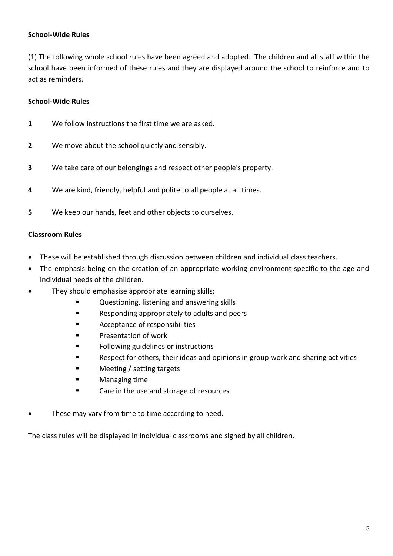#### **School-Wide Rules**

(1) The following whole school rules have been agreed and adopted. The children and all staff within the school have been informed of these rules and they are displayed around the school to reinforce and to act as reminders.

#### **School-Wide Rules**

- **1** We follow instructions the first time we are asked.
- **2** We move about the school quietly and sensibly.
- **3** We take care of our belongings and respect other people's property.
- **4** We are kind, friendly, helpful and polite to all people at all times.
- **5** We keep our hands, feet and other objects to ourselves.

#### **Classroom Rules**

- These will be established through discussion between children and individual class teachers.
- The emphasis being on the creation of an appropriate working environment specific to the age and individual needs of the children.
- They should emphasise appropriate learning skills;
	- Questioning, listening and answering skills
	- **EXECUTE:** Responding appropriately to adults and peers
	- **EXECUTE Acceptance of responsibilities**
	- Presentation of work
	- **Following guidelines or instructions**
	- Respect for others, their ideas and opinions in group work and sharing activities
	- **E** Meeting / setting targets
	- **Managing time**
	- **EXEC** Care in the use and storage of resources
- These may vary from time to time according to need.

The class rules will be displayed in individual classrooms and signed by all children.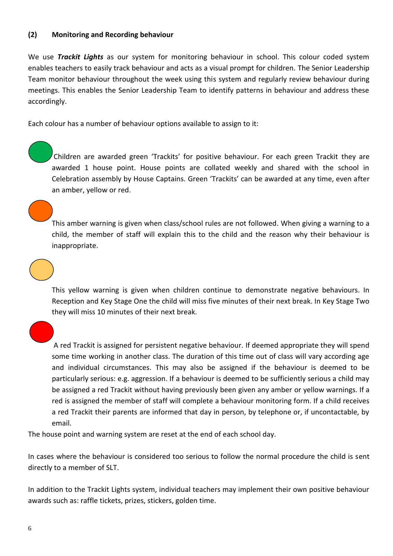#### **(2) Monitoring and Recording behaviour**

We use *Trackit Lights* as our system for monitoring behaviour in school. This colour coded system enables teachers to easily track behaviour and acts as a visual prompt for children. The Senior Leadership Team monitor behaviour throughout the week using this system and regularly review behaviour during meetings. This enables the Senior Leadership Team to identify patterns in behaviour and address these accordingly.

Each colour has a number of behaviour options available to assign to it:

Children are awarded green 'Trackits' for positive behaviour. For each green Trackit they are awarded 1 house point. House points are collated weekly and shared with the school in Celebration assembly by House Captains. Green 'Trackits' can be awarded at any time, even after an amber, yellow or red.

This amber warning is given when class/school rules are not followed. When giving a warning to a child, the member of staff will explain this to the child and the reason why their behaviour is inappropriate.



١

This yellow warning is given when children continue to demonstrate negative behaviours. In Reception and Key Stage One the child will miss five minutes of their next break. In Key Stage Two they will miss 10 minutes of their next break.

A red Trackit is assigned for persistent negative behaviour. If deemed appropriate they will spend some time working in another class. The duration of this time out of class will vary according age and individual circumstances. This may also be assigned if the behaviour is deemed to be particularly serious: e.g. aggression. If a behaviour is deemed to be sufficiently serious a child may be assigned a red Trackit without having previously been given any amber or yellow warnings. If a red is assigned the member of staff will complete a behaviour monitoring form. If a child receives a red Trackit their parents are informed that day in person, by telephone or, if uncontactable, by email.

The house point and warning system are reset at the end of each school day.

In cases where the behaviour is considered too serious to follow the normal procedure the child is sent directly to a member of SLT.

In addition to the Trackit Lights system, individual teachers may implement their own positive behaviour awards such as: raffle tickets, prizes, stickers, golden time.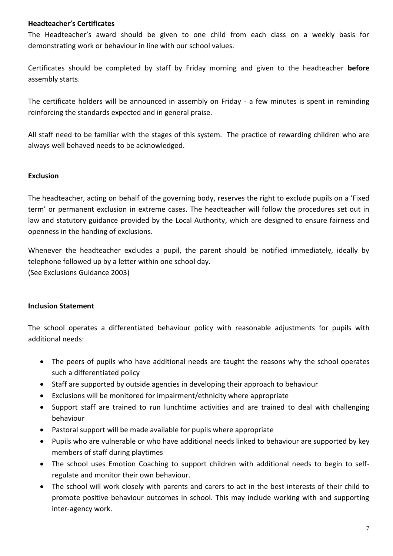#### **Headteacher's Certificates**

The Headteacher's award should be given to one child from each class on a weekly basis for demonstrating work or behaviour in line with our school values.

Certificates should be completed by staff by Friday morning and given to the headteacher **before** assembly starts.

The certificate holders will be announced in assembly on Friday - a few minutes is spent in reminding reinforcing the standards expected and in general praise.

All staff need to be familiar with the stages of this system. The practice of rewarding children who are always well behaved needs to be acknowledged.

#### **Exclusion**

The headteacher, acting on behalf of the governing body, reserves the right to exclude pupils on a 'Fixed term' or permanent exclusion in extreme cases. The headteacher will follow the procedures set out in law and statutory guidance provided by the Local Authority, which are designed to ensure fairness and openness in the handing of exclusions.

Whenever the headteacher excludes a pupil, the parent should be notified immediately, ideally by telephone followed up by a letter within one school day. (See Exclusions Guidance 2003)

#### **Inclusion Statement**

The school operates a differentiated behaviour policy with reasonable adjustments for pupils with additional needs:

- The peers of pupils who have additional needs are taught the reasons why the school operates such a differentiated policy
- Staff are supported by outside agencies in developing their approach to behaviour
- Exclusions will be monitored for impairment/ethnicity where appropriate
- Support staff are trained to run lunchtime activities and are trained to deal with challenging behaviour
- Pastoral support will be made available for pupils where appropriate
- Pupils who are vulnerable or who have additional needs linked to behaviour are supported by key members of staff during playtimes
- The school uses Emotion Coaching to support children with additional needs to begin to selfregulate and monitor their own behaviour.
- The school will work closely with parents and carers to act in the best interests of their child to promote positive behaviour outcomes in school. This may include working with and supporting inter-agency work.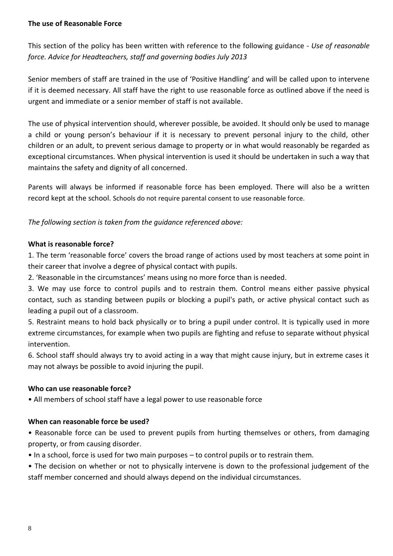#### **The use of Reasonable Force**

This section of the policy has been written with reference to the following guidance - *Use of reasonable force. Advice for Headteachers, staff and governing bodies July 2013*

Senior members of staff are trained in the use of 'Positive Handling' and will be called upon to intervene if it is deemed necessary. All staff have the right to use reasonable force as outlined above if the need is urgent and immediate or a senior member of staff is not available.

The use of physical intervention should, wherever possible, be avoided. It should only be used to manage a child or young person's behaviour if it is necessary to prevent personal injury to the child, other children or an adult, to prevent serious damage to property or in what would reasonably be regarded as exceptional circumstances. When physical intervention is used it should be undertaken in such a way that maintains the safety and dignity of all concerned.

Parents will always be informed if reasonable force has been employed. There will also be a written record kept at the school. Schools do not require parental consent to use reasonable force.

*The following section is taken from the guidance referenced above:*

#### **What is reasonable force?**

1. The term 'reasonable force' covers the broad range of actions used by most teachers at some point in their career that involve a degree of physical contact with pupils.

2. 'Reasonable in the circumstances' means using no more force than is needed.

3. We may use force to control pupils and to restrain them. Control means either passive physical contact, such as standing between pupils or blocking a pupil's path, or active physical contact such as leading a pupil out of a classroom.

5. Restraint means to hold back physically or to bring a pupil under control. It is typically used in more extreme circumstances, for example when two pupils are fighting and refuse to separate without physical intervention.

6. School staff should always try to avoid acting in a way that might cause injury, but in extreme cases it may not always be possible to avoid injuring the pupil.

#### **Who can use reasonable force?**

• All members of school staff have a legal power to use reasonable force

# **When can reasonable force be used?**

• Reasonable force can be used to prevent pupils from hurting themselves or others, from damaging property, or from causing disorder.

• In a school, force is used for two main purposes – to control pupils or to restrain them.

• The decision on whether or not to physically intervene is down to the professional judgement of the staff member concerned and should always depend on the individual circumstances.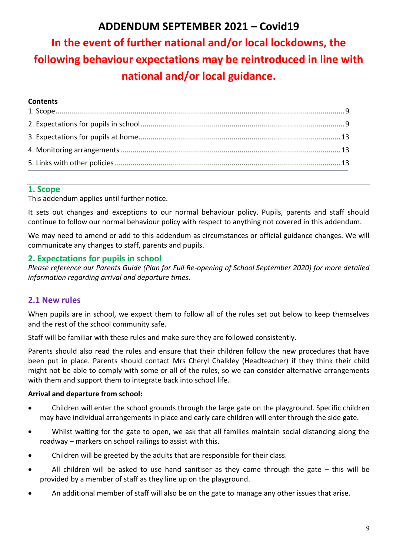# **ADDENDUM SEPTEMBER 2021 – Covid19**

# **In the event of further national and/or local lockdowns, the following behaviour expectations may be reintroduced in line with national and/or local guidance.**

#### **Contents**

## **1. Scope**

This addendum applies until further notice.

It sets out changes and exceptions to our normal behaviour policy. Pupils, parents and staff should continue to follow our normal behaviour policy with respect to anything not covered in this addendum.

We may need to amend or add to this addendum as circumstances or official guidance changes. We will communicate any changes to staff, parents and pupils.

## **2. Expectations for pupils in school**

*Please reference our Parents Guide (Plan for Full Re-opening of School September 2020) for more detailed information regarding arrival and departure times.* 

# **2.1 New rules**

When pupils are in school, we expect them to follow all of the rules set out below to keep themselves and the rest of the school community safe.

Staff will be familiar with these rules and make sure they are followed consistently.

Parents should also read the rules and ensure that their children follow the new procedures that have been put in place. Parents should contact Mrs Cheryl Chalkley (Headteacher) if they think their child might not be able to comply with some or all of the rules, so we can consider alternative arrangements with them and support them to integrate back into school life.

#### **Arrival and departure from school:**

- Children will enter the school grounds through the large gate on the playground. Specific children may have individual arrangements in place and early care children will enter through the side gate.
- Whilst waiting for the gate to open, we ask that all families maintain social distancing along the roadway – markers on school railings to assist with this.
- Children will be greeted by the adults that are responsible for their class.
- All children will be asked to use hand sanitiser as they come through the gate this will be provided by a member of staff as they line up on the playground.
- An additional member of staff will also be on the gate to manage any other issues that arise.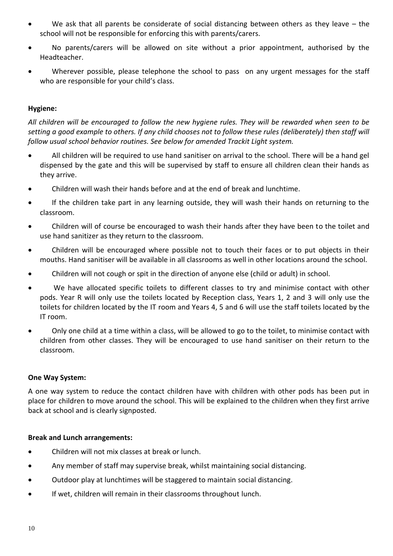- We ask that all parents be considerate of social distancing between others as they leave the school will not be responsible for enforcing this with parents/carers.
- No parents/carers will be allowed on site without a prior appointment, authorised by the Headteacher.
- Wherever possible, please telephone the school to pass on any urgent messages for the staff who are responsible for your child's class.

#### **Hygiene:**

*All children will be encouraged to follow the new hygiene rules. They will be rewarded when seen to be setting a good example to others. If any child chooses not to follow these rules (deliberately) then staff will follow usual school behavior routines. See below for amended Trackit Light system.* 

- All children will be required to use hand sanitiser on arrival to the school. There will be a hand gel dispensed by the gate and this will be supervised by staff to ensure all children clean their hands as they arrive.
- Children will wash their hands before and at the end of break and lunchtime.
- If the children take part in any learning outside, they will wash their hands on returning to the classroom.
- Children will of course be encouraged to wash their hands after they have been to the toilet and use hand sanitizer as they return to the classroom.
- Children will be encouraged where possible not to touch their faces or to put objects in their mouths. Hand sanitiser will be available in all classrooms as well in other locations around the school.
- Children will not cough or spit in the direction of anyone else (child or adult) in school.
- We have allocated specific toilets to different classes to try and minimise contact with other pods. Year R will only use the toilets located by Reception class, Years 1, 2 and 3 will only use the toilets for children located by the IT room and Years 4, 5 and 6 will use the staff toilets located by the IT room.
- Only one child at a time within a class, will be allowed to go to the toilet, to minimise contact with children from other classes. They will be encouraged to use hand sanitiser on their return to the classroom.

#### **One Way System:**

A one way system to reduce the contact children have with children with other pods has been put in place for children to move around the school. This will be explained to the children when they first arrive back at school and is clearly signposted.

#### **Break and Lunch arrangements:**

- Children will not mix classes at break or lunch.
- Any member of staff may supervise break, whilst maintaining social distancing.
- Outdoor play at lunchtimes will be staggered to maintain social distancing.
- If wet, children will remain in their classrooms throughout lunch.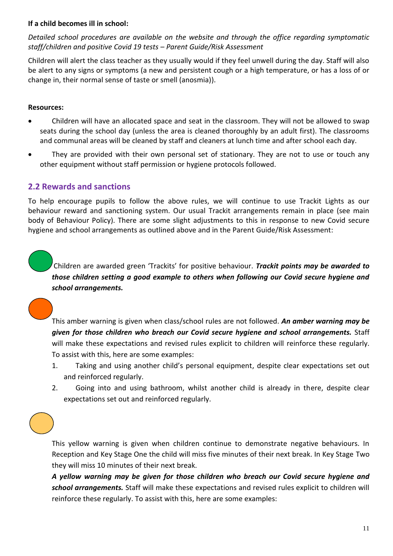#### **If a child becomes ill in school:**

*Detailed school procedures are available on the website and through the office regarding symptomatic staff/children and positive Covid 19 tests – Parent Guide/Risk Assessment* 

Children will alert the class teacher as they usually would if they feel unwell during the day. Staff will also be alert to any signs or symptoms (a new and persistent cough or a high temperature, or has a loss of or change in, their normal sense of taste or smell (anosmia)).

#### **Resources:**

١

- Children will have an allocated space and seat in the classroom. They will not be allowed to swap seats during the school day (unless the area is cleaned thoroughly by an adult first). The classrooms and communal areas will be cleaned by staff and cleaners at lunch time and after school each day.
- They are provided with their own personal set of stationary. They are not to use or touch any other equipment without staff permission or hygiene protocols followed.

# **2.2 Rewards and sanctions**

To help encourage pupils to follow the above rules, we will continue to use Trackit Lights as our behaviour reward and sanctioning system. Our usual Trackit arrangements remain in place (see main body of Behaviour Policy). There are some slight adjustments to this in response to new Covid secure hygiene and school arrangements as outlined above and in the Parent Guide/Risk Assessment:

Children are awarded green 'Trackits' for positive behaviour. *Trackit points may be awarded to those children setting a good example to others when following our Covid secure hygiene and school arrangements.*

This amber warning is given when class/school rules are not followed. *An amber warning may be given for those children who breach our Covid secure hygiene and school arrangements.* Staff will make these expectations and revised rules explicit to children will reinforce these regularly. To assist with this, here are some examples:

- 1. Taking and using another child's personal equipment, despite clear expectations set out and reinforced regularly.
- 2. Going into and using bathroom, whilst another child is already in there, despite clear expectations set out and reinforced regularly.

This yellow warning is given when children continue to demonstrate negative behaviours. In Reception and Key Stage One the child will miss five minutes of their next break. In Key Stage Two they will miss 10 minutes of their next break.

*A yellow warning may be given for those children who breach our Covid secure hygiene and school arrangements.* Staff will make these expectations and revised rules explicit to children will reinforce these regularly. To assist with this, here are some examples: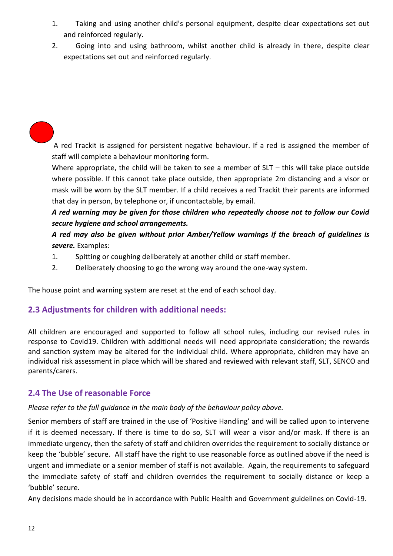- 1. Taking and using another child's personal equipment, despite clear expectations set out and reinforced regularly.
- 2. Going into and using bathroom, whilst another child is already in there, despite clear expectations set out and reinforced regularly.

A red Trackit is assigned for persistent negative behaviour. If a red is assigned the member of staff will complete a behaviour monitoring form.

Where appropriate, the child will be taken to see a member of  $SLT -$  this will take place outside where possible. If this cannot take place outside, then appropriate 2m distancing and a visor or mask will be worn by the SLT member. If a child receives a red Trackit their parents are informed that day in person, by telephone or, if uncontactable, by email.

*A red warning may be given for those children who repeatedly choose not to follow our Covid secure hygiene and school arrangements.*

*A red may also be given without prior Amber/Yellow warnings if the breach of guidelines is severe.* Examples:

- 1. Spitting or coughing deliberately at another child or staff member.
- 2. Deliberately choosing to go the wrong way around the one-way system.

The house point and warning system are reset at the end of each school day.

# **2.3 Adjustments for children with additional needs:**

All children are encouraged and supported to follow all school rules, including our revised rules in response to Covid19. Children with additional needs will need appropriate consideration; the rewards and sanction system may be altered for the individual child. Where appropriate, children may have an individual risk assessment in place which will be shared and reviewed with relevant staff, SLT, SENCO and parents/carers.

# **2.4 The Use of reasonable Force**

#### *Please refer to the full guidance in the main body of the behaviour policy above.*

Senior members of staff are trained in the use of 'Positive Handling' and will be called upon to intervene if it is deemed necessary. If there is time to do so, SLT will wear a visor and/or mask. If there is an immediate urgency, then the safety of staff and children overrides the requirement to socially distance or keep the 'bubble' secure. All staff have the right to use reasonable force as outlined above if the need is urgent and immediate or a senior member of staff is not available. Again, the requirements to safeguard the immediate safety of staff and children overrides the requirement to socially distance or keep a 'bubble' secure.

Any decisions made should be in accordance with Public Health and Government guidelines on Covid-19.